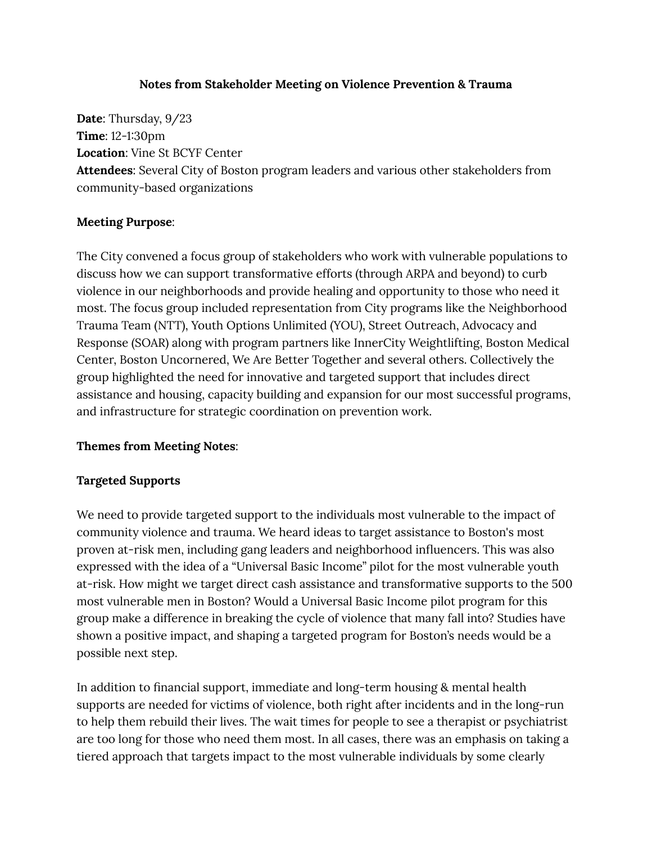#### **Notes from Stakeholder Meeting on Violence Prevention & Trauma**

**Date**: Thursday, 9/23 **Time**: 12-1:30pm **Location**: Vine St BCYF Center **Attendees**: Several City of Boston program leaders and various other stakeholders from community-based organizations

### **Meeting Purpose**:

The City convened a focus group of stakeholders who work with vulnerable populations to discuss how we can support transformative efforts (through ARPA and beyond) to curb violence in our neighborhoods and provide healing and opportunity to those who need it most. The focus group included representation from City programs like the Neighborhood Trauma Team (NTT), Youth Options Unlimited (YOU), Street Outreach, Advocacy and Response (SOAR) along with program partners like InnerCity Weightlifting, Boston Medical Center, Boston Uncornered, We Are Better Together and several others. Collectively the group highlighted the need for innovative and targeted support that includes direct assistance and housing, capacity building and expansion for our most successful programs, and infrastructure for strategic coordination on prevention work.

#### **Themes from Meeting Notes**:

### **Targeted Supports**

We need to provide targeted support to the individuals most vulnerable to the impact of community violence and trauma. We heard ideas to target assistance to Boston's most proven at-risk men, including gang leaders and neighborhood influencers. This was also expressed with the idea of a "Universal Basic Income" pilot for the most vulnerable youth at-risk. How might we target direct cash assistance and transformative supports to the 500 most vulnerable men in Boston? Would a Universal Basic Income pilot program for this group make a difference in breaking the cycle of violence that many fall into? Studies have shown a positive impact, and shaping a targeted program for Boston's needs would be a possible next step.

In addition to financial support, immediate and long-term housing & mental health supports are needed for victims of violence, both right after incidents and in the long-run to help them rebuild their lives. The wait times for people to see a therapist or psychiatrist are too long for those who need them most. In all cases, there was an emphasis on taking a tiered approach that targets impact to the most vulnerable individuals by some clearly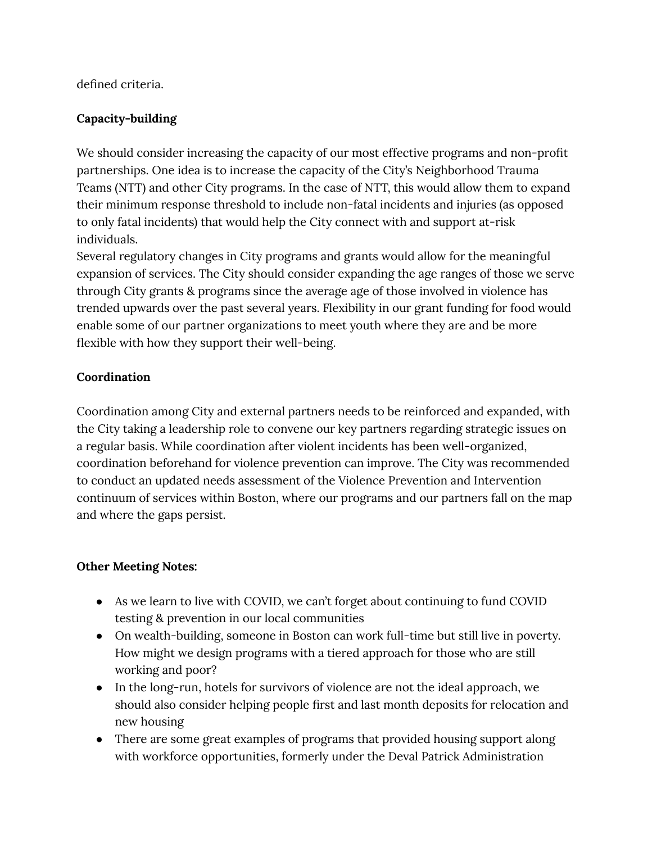defined criteria.

## **Capacity-building**

We should consider increasing the capacity of our most effective programs and non-profit partnerships. One idea is to increase the capacity of the City's Neighborhood Trauma Teams (NTT) and other City programs. In the case of NTT, this would allow them to expand their minimum response threshold to include non-fatal incidents and injuries (as opposed to only fatal incidents) that would help the City connect with and support at-risk individuals.

Several regulatory changes in City programs and grants would allow for the meaningful expansion of services. The City should consider expanding the age ranges of those we serve through City grants & programs since the average age of those involved in violence has trended upwards over the past several years. Flexibility in our grant funding for food would enable some of our partner organizations to meet youth where they are and be more flexible with how they support their well-being.

# **Coordination**

Coordination among City and external partners needs to be reinforced and expanded, with the City taking a leadership role to convene our key partners regarding strategic issues on a regular basis. While coordination after violent incidents has been well-organized, coordination beforehand for violence prevention can improve. The City was recommended to conduct an updated needs assessment of the Violence Prevention and Intervention continuum of services within Boston, where our programs and our partners fall on the map and where the gaps persist.

### **Other Meeting Notes:**

- As we learn to live with COVID, we can't forget about continuing to fund COVID testing & prevention in our local communities
- On wealth-building, someone in Boston can work full-time but still live in poverty. How might we design programs with a tiered approach for those who are still working and poor?
- In the long-run, hotels for survivors of violence are not the ideal approach, we should also consider helping people first and last month deposits for relocation and new housing
- There are some great examples of programs that provided housing support along with workforce opportunities, formerly under the Deval Patrick Administration